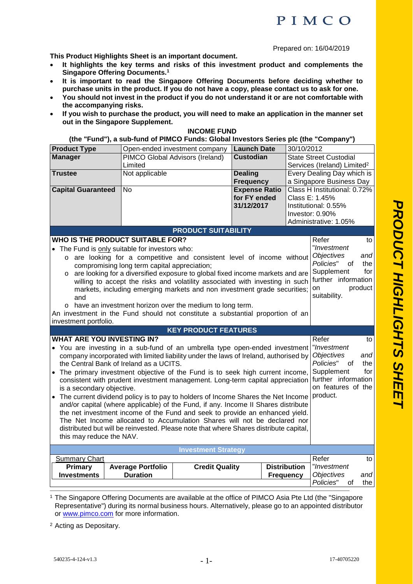Prepared on: 16/04/2019

**This Product Highlights Sheet is an important document.** 

- **It highlights the key terms and risks of this investment product and complements the Singapore Offering Documents.<sup>1</sup>**
- **It is important to read the Singapore Offering Documents before deciding whether to purchase units in the product. If you do not have a copy, please contact us to ask for one.**
- **You should not invest in the product if you do not understand it or are not comfortable with the accompanying risks.**
- **If you wish to purchase the product, you will need to make an application in the manner set out in the Singapore Supplement.**

## **INCOME FUND**

## **(the "Fund"), a sub-fund of PIMCO Funds: Global Investors Series plc (the "Company")**

| <b>Product Type</b>                                                                                                                                                 |                                                                                       | Open-ended investment company   | <b>Launch Date</b>   |                                             |                                         |         |
|---------------------------------------------------------------------------------------------------------------------------------------------------------------------|---------------------------------------------------------------------------------------|---------------------------------|----------------------|---------------------------------------------|-----------------------------------------|---------|
|                                                                                                                                                                     |                                                                                       |                                 | <b>Custodian</b>     | 30/10/2012<br><b>State Street Custodial</b> |                                         |         |
| <b>Manager</b>                                                                                                                                                      |                                                                                       | PIMCO Global Advisors (Ireland) |                      |                                             |                                         |         |
|                                                                                                                                                                     | Limited                                                                               |                                 |                      |                                             | Services (Ireland) Limited <sup>2</sup> |         |
| <b>Trustee</b>                                                                                                                                                      | Not applicable                                                                        |                                 | <b>Dealing</b>       |                                             | Every Dealing Day which is              |         |
|                                                                                                                                                                     |                                                                                       |                                 | <b>Frequency</b>     |                                             | a Singapore Business Day                |         |
| <b>Capital Guaranteed</b>                                                                                                                                           | <b>No</b>                                                                             |                                 | <b>Expense Ratio</b> |                                             | Class H Institutional: 0.72%            |         |
|                                                                                                                                                                     |                                                                                       |                                 | for FY ended         |                                             | Class E: 1.45%                          |         |
|                                                                                                                                                                     |                                                                                       |                                 | 31/12/2017           |                                             | Institutional: 0.55%                    |         |
|                                                                                                                                                                     |                                                                                       |                                 |                      |                                             | Investor: 0.90%                         |         |
|                                                                                                                                                                     |                                                                                       |                                 |                      |                                             | Administrative: 1.05%                   |         |
|                                                                                                                                                                     |                                                                                       | <b>PRODUCT SUITABILITY</b>      |                      |                                             |                                         |         |
|                                                                                                                                                                     | <b>WHO IS THE PRODUCT SUITABLE FOR?</b>                                               |                                 |                      |                                             | Refer                                   | to      |
|                                                                                                                                                                     | • The Fund is only suitable for investors who:                                        |                                 |                      |                                             | "Investment                             |         |
|                                                                                                                                                                     | o are looking for a competitive and consistent level of income without                |                                 |                      |                                             | <b>Objectives</b>                       | and     |
|                                                                                                                                                                     | compromising long term capital appreciation;                                          |                                 |                      |                                             | Policies"<br>οf                         | the     |
| $\circ$                                                                                                                                                             | are looking for a diversified exposure to global fixed income markets and are         |                                 |                      |                                             | Supplement                              | for     |
|                                                                                                                                                                     | willing to accept the risks and volatility associated with investing in such          |                                 |                      |                                             | further information                     |         |
|                                                                                                                                                                     | markets, including emerging markets and non investment grade securities;              |                                 |                      |                                             | on                                      | product |
| and                                                                                                                                                                 |                                                                                       |                                 |                      |                                             | suitability.                            |         |
|                                                                                                                                                                     | o have an investment horizon over the medium to long term.                            |                                 |                      |                                             |                                         |         |
|                                                                                                                                                                     | An investment in the Fund should not constitute a substantial proportion of an        |                                 |                      |                                             |                                         |         |
| investment portfolio.                                                                                                                                               |                                                                                       |                                 |                      |                                             |                                         |         |
|                                                                                                                                                                     |                                                                                       | <b>KEY PRODUCT FEATURES</b>     |                      |                                             |                                         |         |
| <b>WHAT ARE YOU INVESTING IN?</b>                                                                                                                                   |                                                                                       |                                 |                      |                                             | Refer                                   | to      |
|                                                                                                                                                                     |                                                                                       |                                 |                      |                                             | "Investment                             |         |
| • You are investing in a sub-fund of an umbrella type open-ended investment<br>company incorporated with limited liability under the laws of Ireland, authorised by |                                                                                       |                                 |                      | <b>Objectives</b>                           | and                                     |         |
| the Central Bank of Ireland as a UCITS.                                                                                                                             |                                                                                       |                                 |                      |                                             | Policies"<br>οf                         | the     |
| Supplement<br>The primary investment objective of the Fund is to seek high current income,                                                                          |                                                                                       |                                 |                      | for                                         |                                         |         |
| consistent with prudent investment management. Long-term capital appreciation                                                                                       |                                                                                       |                                 |                      |                                             | further information                     |         |
| is a secondary objective.                                                                                                                                           |                                                                                       |                                 |                      |                                             | on features of the                      |         |
| product.<br>• The current dividend policy is to pay to holders of Income Shares the Net Income                                                                      |                                                                                       |                                 |                      |                                             |                                         |         |
| and/or capital (where applicable) of the Fund, if any. Income II Shares distribute                                                                                  |                                                                                       |                                 |                      |                                             |                                         |         |
| the net investment income of the Fund and seek to provide an enhanced yield.                                                                                        |                                                                                       |                                 |                      |                                             |                                         |         |
| The Net Income allocated to Accumulation Shares will not be declared nor                                                                                            |                                                                                       |                                 |                      |                                             |                                         |         |
|                                                                                                                                                                     | distributed but will be reinvested. Please note that where Shares distribute capital, |                                 |                      |                                             |                                         |         |
| this may reduce the NAV.                                                                                                                                            |                                                                                       |                                 |                      |                                             |                                         |         |
|                                                                                                                                                                     |                                                                                       |                                 |                      |                                             |                                         |         |
|                                                                                                                                                                     |                                                                                       | <b>Investment Strategy</b>      |                      |                                             |                                         |         |
| <b>Summary Chart</b>                                                                                                                                                |                                                                                       |                                 |                      |                                             | Refer                                   | to      |
| Primary                                                                                                                                                             | <b>Average Portfolio</b>                                                              | <b>Credit Quality</b>           |                      | <b>Distribution</b>                         | "Investment                             |         |
| <b>Investments</b>                                                                                                                                                  | <b>Duration</b>                                                                       |                                 |                      | <b>Frequency</b>                            | <b>Objectives</b>                       | and     |
|                                                                                                                                                                     |                                                                                       |                                 |                      |                                             | Policies"<br>οf                         | the I   |
|                                                                                                                                                                     |                                                                                       |                                 |                      |                                             |                                         |         |

1 The Singapore Offering Documents are available at the office of PIMCO Asia Pte Ltd (the "Singapore Representative") during its normal business hours. Alternatively, please go to an appointed distributor or www.pimco.com for more information.

2 Acting as Depositary.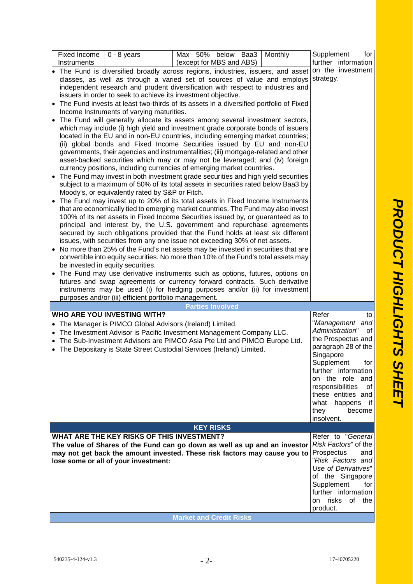| Fixed Income<br>Instruments                                                                                                                                                                                                                                                                                                                                                                                                                                                                                                                                                                                                                                                                                                                                                                                                                                                                                                                                                                                                                                                                                                                                                                                                                                                                                                                                                                                                                                                                                                                                                                                                                                                                                                                             | $0 - 8$ years                                                                                                                        | Max 50% below Baa3                                                                                                                                                                                                         | Monthly | Supplement<br>for<br>further information                                                                                                                                                                                                                                                    |  |  |
|---------------------------------------------------------------------------------------------------------------------------------------------------------------------------------------------------------------------------------------------------------------------------------------------------------------------------------------------------------------------------------------------------------------------------------------------------------------------------------------------------------------------------------------------------------------------------------------------------------------------------------------------------------------------------------------------------------------------------------------------------------------------------------------------------------------------------------------------------------------------------------------------------------------------------------------------------------------------------------------------------------------------------------------------------------------------------------------------------------------------------------------------------------------------------------------------------------------------------------------------------------------------------------------------------------------------------------------------------------------------------------------------------------------------------------------------------------------------------------------------------------------------------------------------------------------------------------------------------------------------------------------------------------------------------------------------------------------------------------------------------------|--------------------------------------------------------------------------------------------------------------------------------------|----------------------------------------------------------------------------------------------------------------------------------------------------------------------------------------------------------------------------|---------|---------------------------------------------------------------------------------------------------------------------------------------------------------------------------------------------------------------------------------------------------------------------------------------------|--|--|
|                                                                                                                                                                                                                                                                                                                                                                                                                                                                                                                                                                                                                                                                                                                                                                                                                                                                                                                                                                                                                                                                                                                                                                                                                                                                                                                                                                                                                                                                                                                                                                                                                                                                                                                                                         |                                                                                                                                      | (except for MBS and ABS)<br>• The Fund is diversified broadly across regions, industries, issuers, and asset                                                                                                               |         | on the investment                                                                                                                                                                                                                                                                           |  |  |
| classes, as well as through a varied set of sources of value and employs<br>independent research and prudent diversification with respect to industries and<br>issuers in order to seek to achieve its investment objective.<br>• The Fund invests at least two-thirds of its assets in a diversified portfolio of Fixed                                                                                                                                                                                                                                                                                                                                                                                                                                                                                                                                                                                                                                                                                                                                                                                                                                                                                                                                                                                                                                                                                                                                                                                                                                                                                                                                                                                                                                | strategy.                                                                                                                            |                                                                                                                                                                                                                            |         |                                                                                                                                                                                                                                                                                             |  |  |
| Income Instruments of varying maturities.<br>• The Fund will generally allocate its assets among several investment sectors,<br>which may include (i) high yield and investment grade corporate bonds of issuers<br>located in the EU and in non-EU countries, including emerging market countries;<br>(ii) global bonds and Fixed Income Securities issued by EU and non-EU<br>governments, their agencies and instrumentalities; (iii) mortgage-related and other<br>asset-backed securities which may or may not be leveraged; and (iv) foreign<br>currency positions, including currencies of emerging market countries.<br>• The Fund may invest in both investment grade securities and high yield securities<br>subject to a maximum of 50% of its total assets in securities rated below Baa3 by<br>Moody's, or equivalently rated by S&P or Fitch.<br>• The Fund may invest up to 20% of its total assets in Fixed Income Instruments<br>that are economically tied to emerging market countries. The Fund may also invest<br>100% of its net assets in Fixed Income Securities issued by, or guaranteed as to<br>principal and interest by, the U.S. government and repurchase agreements<br>secured by such obligations provided that the Fund holds at least six different<br>issues, with securities from any one issue not exceeding 30% of net assets.<br>• No more than 25% of the Fund's net assets may be invested in securities that are<br>convertible into equity securities. No more than 10% of the Fund's total assets may<br>be invested in equity securities.<br>• The Fund may use derivative instruments such as options, futures, options on<br>futures and swap agreements or currency forward contracts. Such derivative |                                                                                                                                      |                                                                                                                                                                                                                            |         |                                                                                                                                                                                                                                                                                             |  |  |
|                                                                                                                                                                                                                                                                                                                                                                                                                                                                                                                                                                                                                                                                                                                                                                                                                                                                                                                                                                                                                                                                                                                                                                                                                                                                                                                                                                                                                                                                                                                                                                                                                                                                                                                                                         | instruments may be used (i) for hedging purposes and/or (ii) for investment<br>purposes and/or (iii) efficient portfolio management. |                                                                                                                                                                                                                            |         |                                                                                                                                                                                                                                                                                             |  |  |
|                                                                                                                                                                                                                                                                                                                                                                                                                                                                                                                                                                                                                                                                                                                                                                                                                                                                                                                                                                                                                                                                                                                                                                                                                                                                                                                                                                                                                                                                                                                                                                                                                                                                                                                                                         |                                                                                                                                      | <b>Parties Involved</b>                                                                                                                                                                                                    |         |                                                                                                                                                                                                                                                                                             |  |  |
|                                                                                                                                                                                                                                                                                                                                                                                                                                                                                                                                                                                                                                                                                                                                                                                                                                                                                                                                                                                                                                                                                                                                                                                                                                                                                                                                                                                                                                                                                                                                                                                                                                                                                                                                                         | <b>WHO ARE YOU INVESTING WITH?</b><br>The Manager is PIMCO Global Advisors (Ireland) Limited.                                        | The Investment Advisor is Pacific Investment Management Company LLC.<br>The Sub-Investment Advisors are PIMCO Asia Pte Ltd and PIMCO Europe Ltd.<br>• The Depositary is State Street Custodial Services (Ireland) Limited. |         | Refer<br>to<br>"Management and<br>Administration"<br>οf<br>the Prospectus and<br>paragraph 28 of the<br>Singapore<br>Supplement<br>for<br>further information<br>on the role and<br>responsibilities<br>οf<br>these entities and<br>what<br>happens<br>- it<br>they<br>become<br>insolvent. |  |  |
| <b>KEY RISKS</b>                                                                                                                                                                                                                                                                                                                                                                                                                                                                                                                                                                                                                                                                                                                                                                                                                                                                                                                                                                                                                                                                                                                                                                                                                                                                                                                                                                                                                                                                                                                                                                                                                                                                                                                                        |                                                                                                                                      |                                                                                                                                                                                                                            |         |                                                                                                                                                                                                                                                                                             |  |  |
|                                                                                                                                                                                                                                                                                                                                                                                                                                                                                                                                                                                                                                                                                                                                                                                                                                                                                                                                                                                                                                                                                                                                                                                                                                                                                                                                                                                                                                                                                                                                                                                                                                                                                                                                                         | WHAT ARE THE KEY RISKS OF THIS INVESTMENT?                                                                                           |                                                                                                                                                                                                                            |         | Refer to "General                                                                                                                                                                                                                                                                           |  |  |
|                                                                                                                                                                                                                                                                                                                                                                                                                                                                                                                                                                                                                                                                                                                                                                                                                                                                                                                                                                                                                                                                                                                                                                                                                                                                                                                                                                                                                                                                                                                                                                                                                                                                                                                                                         |                                                                                                                                      | The value of Shares of the Fund can go down as well as up and an investor                                                                                                                                                  |         | Risk Factors" of the<br>Prospectus<br>and                                                                                                                                                                                                                                                   |  |  |
|                                                                                                                                                                                                                                                                                                                                                                                                                                                                                                                                                                                                                                                                                                                                                                                                                                                                                                                                                                                                                                                                                                                                                                                                                                                                                                                                                                                                                                                                                                                                                                                                                                                                                                                                                         | lose some or all of your investment:                                                                                                 | may not get back the amount invested. These risk factors may cause you to                                                                                                                                                  |         | "Risk Factors and                                                                                                                                                                                                                                                                           |  |  |
|                                                                                                                                                                                                                                                                                                                                                                                                                                                                                                                                                                                                                                                                                                                                                                                                                                                                                                                                                                                                                                                                                                                                                                                                                                                                                                                                                                                                                                                                                                                                                                                                                                                                                                                                                         |                                                                                                                                      |                                                                                                                                                                                                                            |         |                                                                                                                                                                                                                                                                                             |  |  |
|                                                                                                                                                                                                                                                                                                                                                                                                                                                                                                                                                                                                                                                                                                                                                                                                                                                                                                                                                                                                                                                                                                                                                                                                                                                                                                                                                                                                                                                                                                                                                                                                                                                                                                                                                         |                                                                                                                                      |                                                                                                                                                                                                                            |         |                                                                                                                                                                                                                                                                                             |  |  |
|                                                                                                                                                                                                                                                                                                                                                                                                                                                                                                                                                                                                                                                                                                                                                                                                                                                                                                                                                                                                                                                                                                                                                                                                                                                                                                                                                                                                                                                                                                                                                                                                                                                                                                                                                         | Supplement<br>for<br>further information                                                                                             |                                                                                                                                                                                                                            |         |                                                                                                                                                                                                                                                                                             |  |  |
|                                                                                                                                                                                                                                                                                                                                                                                                                                                                                                                                                                                                                                                                                                                                                                                                                                                                                                                                                                                                                                                                                                                                                                                                                                                                                                                                                                                                                                                                                                                                                                                                                                                                                                                                                         | on risks of the                                                                                                                      |                                                                                                                                                                                                                            |         |                                                                                                                                                                                                                                                                                             |  |  |
|                                                                                                                                                                                                                                                                                                                                                                                                                                                                                                                                                                                                                                                                                                                                                                                                                                                                                                                                                                                                                                                                                                                                                                                                                                                                                                                                                                                                                                                                                                                                                                                                                                                                                                                                                         | product.                                                                                                                             |                                                                                                                                                                                                                            |         |                                                                                                                                                                                                                                                                                             |  |  |
|                                                                                                                                                                                                                                                                                                                                                                                                                                                                                                                                                                                                                                                                                                                                                                                                                                                                                                                                                                                                                                                                                                                                                                                                                                                                                                                                                                                                                                                                                                                                                                                                                                                                                                                                                         | <b>Market and Credit Risks</b>                                                                                                       |                                                                                                                                                                                                                            |         |                                                                                                                                                                                                                                                                                             |  |  |

*P*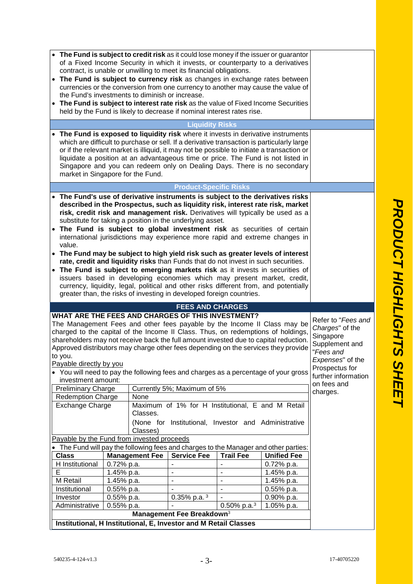| • The Fund is subject to credit risk as it could lose money if the issuer or guarantor                                                                                           |                                                                                                                                                                                 |                       |                                                                                                           |                  |                                                                                            |                    |
|----------------------------------------------------------------------------------------------------------------------------------------------------------------------------------|---------------------------------------------------------------------------------------------------------------------------------------------------------------------------------|-----------------------|-----------------------------------------------------------------------------------------------------------|------------------|--------------------------------------------------------------------------------------------|--------------------|
|                                                                                                                                                                                  |                                                                                                                                                                                 |                       |                                                                                                           |                  | of a Fixed Income Security in which it invests, or counterparty to a derivatives           |                    |
|                                                                                                                                                                                  |                                                                                                                                                                                 |                       | contract, is unable or unwilling to meet its financial obligations.                                       |                  |                                                                                            |                    |
| • The Fund is subject to currency risk as changes in exchange rates between                                                                                                      |                                                                                                                                                                                 |                       |                                                                                                           |                  |                                                                                            |                    |
| currencies or the conversion from one currency to another may cause the value of<br>the Fund's investments to diminish or increase.                                              |                                                                                                                                                                                 |                       |                                                                                                           |                  |                                                                                            |                    |
| • The Fund is subject to interest rate risk as the value of Fixed Income Securities                                                                                              |                                                                                                                                                                                 |                       |                                                                                                           |                  |                                                                                            |                    |
|                                                                                                                                                                                  |                                                                                                                                                                                 |                       | held by the Fund is likely to decrease if nominal interest rates rise.                                    |                  |                                                                                            |                    |
|                                                                                                                                                                                  |                                                                                                                                                                                 |                       |                                                                                                           |                  |                                                                                            |                    |
|                                                                                                                                                                                  |                                                                                                                                                                                 |                       | <b>Liquidity Risks</b>                                                                                    |                  |                                                                                            |                    |
| • The Fund is exposed to liquidity risk where it invests in derivative instruments<br>which are difficult to purchase or sell. If a derivative transaction is particularly large |                                                                                                                                                                                 |                       |                                                                                                           |                  |                                                                                            |                    |
|                                                                                                                                                                                  |                                                                                                                                                                                 |                       |                                                                                                           |                  | or if the relevant market is illiquid, it may not be possible to initiate a transaction or |                    |
|                                                                                                                                                                                  |                                                                                                                                                                                 |                       |                                                                                                           |                  | liquidate a position at an advantageous time or price. The Fund is not listed in           |                    |
|                                                                                                                                                                                  |                                                                                                                                                                                 |                       |                                                                                                           |                  | Singapore and you can redeem only on Dealing Days. There is no secondary                   |                    |
| market in Singapore for the Fund.                                                                                                                                                |                                                                                                                                                                                 |                       |                                                                                                           |                  |                                                                                            |                    |
|                                                                                                                                                                                  |                                                                                                                                                                                 |                       | <b>Product-Specific Risks</b>                                                                             |                  |                                                                                            |                    |
| • The Fund's use of derivative instruments is subject to the derivatives risks                                                                                                   |                                                                                                                                                                                 |                       |                                                                                                           |                  |                                                                                            |                    |
|                                                                                                                                                                                  |                                                                                                                                                                                 |                       |                                                                                                           |                  | described in the Prospectus, such as liquidity risk, interest rate risk, market            |                    |
|                                                                                                                                                                                  |                                                                                                                                                                                 |                       |                                                                                                           |                  | risk, credit risk and management risk. Derivatives will typically be used as a             |                    |
|                                                                                                                                                                                  |                                                                                                                                                                                 |                       | substitute for taking a position in the underlying asset.                                                 |                  |                                                                                            |                    |
| • The Fund is subject to global investment risk as securities of certain                                                                                                         |                                                                                                                                                                                 |                       |                                                                                                           |                  |                                                                                            |                    |
| value.                                                                                                                                                                           |                                                                                                                                                                                 |                       |                                                                                                           |                  | international jurisdictions may experience more rapid and extreme changes in               |                    |
| • The Fund may be subject to high yield risk such as greater levels of interest                                                                                                  |                                                                                                                                                                                 |                       |                                                                                                           |                  |                                                                                            |                    |
|                                                                                                                                                                                  |                                                                                                                                                                                 |                       | rate, credit and liquidity risks than Funds that do not invest in such securities.                        |                  |                                                                                            |                    |
| • The Fund is subject to emerging markets risk as it invests in securities of                                                                                                    |                                                                                                                                                                                 |                       |                                                                                                           |                  |                                                                                            |                    |
|                                                                                                                                                                                  |                                                                                                                                                                                 |                       |                                                                                                           |                  |                                                                                            |                    |
|                                                                                                                                                                                  | issuers based in developing economies which may present market, credit,<br>currency, liquidity, legal, political and other risks different from, and potentially                |                       |                                                                                                           |                  |                                                                                            |                    |
|                                                                                                                                                                                  | greater than, the risks of investing in developed foreign countries.                                                                                                            |                       |                                                                                                           |                  |                                                                                            |                    |
|                                                                                                                                                                                  |                                                                                                                                                                                 |                       | <b>FEES AND CHARGES</b>                                                                                   |                  |                                                                                            |                    |
| WHAT ARE THE FEES AND CHARGES OF THIS INVESTMENT?                                                                                                                                |                                                                                                                                                                                 |                       |                                                                                                           |                  |                                                                                            |                    |
|                                                                                                                                                                                  |                                                                                                                                                                                 |                       |                                                                                                           |                  |                                                                                            | Refer to "Fees and |
|                                                                                                                                                                                  | The Management Fees and other fees payable by the Income II Class may be<br>Charges" of the<br>charged to the capital of the Income II Class. Thus, on redemptions of holdings, |                       |                                                                                                           |                  |                                                                                            |                    |
|                                                                                                                                                                                  | Singapore<br>shareholders may not receive back the full amount invested due to capital reduction.                                                                               |                       |                                                                                                           |                  |                                                                                            |                    |
|                                                                                                                                                                                  | Supplement and<br>Approved distributors may charge other fees depending on the services they provide<br>"Fees and                                                               |                       |                                                                                                           |                  |                                                                                            |                    |
| to you.<br>Expenses" of the                                                                                                                                                      |                                                                                                                                                                                 |                       |                                                                                                           |                  |                                                                                            |                    |
| Payable directly by you<br>Prospectus for                                                                                                                                        |                                                                                                                                                                                 |                       |                                                                                                           |                  |                                                                                            |                    |
| • You will need to pay the following fees and charges as a percentage of your gross<br>further information                                                                       |                                                                                                                                                                                 |                       |                                                                                                           |                  |                                                                                            |                    |
| investment amount:<br>on fees and                                                                                                                                                |                                                                                                                                                                                 |                       |                                                                                                           |                  |                                                                                            |                    |
|                                                                                                                                                                                  | Currently 5%; Maximum of 5%<br><b>Preliminary Charge</b><br><b>Redemption Charge</b><br>None                                                                                    |                       | charges.                                                                                                  |                  |                                                                                            |                    |
| <b>Exchange Charge</b>                                                                                                                                                           |                                                                                                                                                                                 |                       |                                                                                                           |                  |                                                                                            |                    |
|                                                                                                                                                                                  | Maximum of 1% for H Institutional, E and M Retail<br>Classes.                                                                                                                   |                       |                                                                                                           |                  |                                                                                            |                    |
|                                                                                                                                                                                  |                                                                                                                                                                                 |                       | (None for Institutional, Investor and Administrative                                                      |                  |                                                                                            |                    |
|                                                                                                                                                                                  |                                                                                                                                                                                 | Classes)              |                                                                                                           |                  |                                                                                            |                    |
| Payable by the Fund from invested proceeds                                                                                                                                       |                                                                                                                                                                                 |                       |                                                                                                           |                  |                                                                                            |                    |
| • The Fund will pay the following fees and charges to the Manager and other parties:                                                                                             |                                                                                                                                                                                 |                       |                                                                                                           |                  |                                                                                            |                    |
| <b>Class</b>                                                                                                                                                                     |                                                                                                                                                                                 | <b>Management Fee</b> | <b>Service Fee</b>                                                                                        | <b>Trail Fee</b> | <b>Unified Fee</b>                                                                         |                    |
| H Institutional                                                                                                                                                                  | 0.72% p.a.                                                                                                                                                                      |                       | $\blacksquare$                                                                                            | $\blacksquare$   | $0.72%$ p.a.                                                                               |                    |
| E                                                                                                                                                                                | 1.45% p.a.                                                                                                                                                                      |                       | $\blacksquare$                                                                                            | ÷,               | 1.45% p.a.                                                                                 |                    |
| M Retail                                                                                                                                                                         | 1.45% p.a.                                                                                                                                                                      |                       | $\blacksquare$                                                                                            | $\blacksquare$   | 1.45% p.a.                                                                                 |                    |
| Institutional                                                                                                                                                                    | 0.55% p.a.                                                                                                                                                                      |                       |                                                                                                           | ÷,               | $0.55%$ p.a.                                                                               |                    |
| Investor                                                                                                                                                                         |                                                                                                                                                                                 |                       |                                                                                                           |                  |                                                                                            |                    |
|                                                                                                                                                                                  | 0.55% p.a.                                                                                                                                                                      |                       | 0.35% p.a. $3$                                                                                            |                  | 0.90% p.a.                                                                                 |                    |
| Administrative                                                                                                                                                                   | 0.55% p.a.                                                                                                                                                                      |                       |                                                                                                           | 0.50% p.a. $3$   | 1.05% p.a.                                                                                 |                    |
|                                                                                                                                                                                  |                                                                                                                                                                                 |                       | Management Fee Breakdown <sup>3</sup><br>Institutional, H Institutional, E, Investor and M Retail Classes |                  |                                                                                            |                    |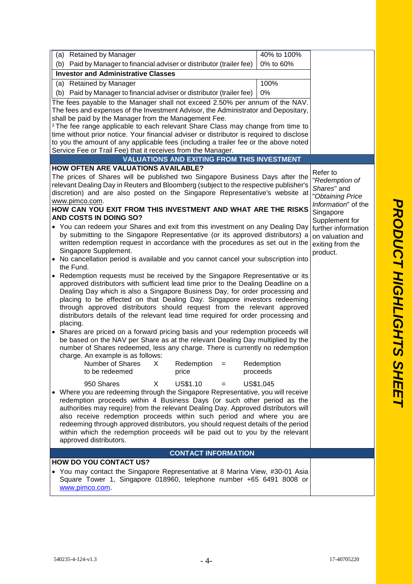| (a) Retained by Manager                                                                                                                                                                                                                                                                                                                                                                                                                                                                                                                                                | 40% to 100%            |                                         |  |  |
|------------------------------------------------------------------------------------------------------------------------------------------------------------------------------------------------------------------------------------------------------------------------------------------------------------------------------------------------------------------------------------------------------------------------------------------------------------------------------------------------------------------------------------------------------------------------|------------------------|-----------------------------------------|--|--|
| (b) Paid by Manager to financial adviser or distributor (trailer fee)                                                                                                                                                                                                                                                                                                                                                                                                                                                                                                  | 0% to 60%              |                                         |  |  |
| <b>Investor and Administrative Classes</b>                                                                                                                                                                                                                                                                                                                                                                                                                                                                                                                             |                        |                                         |  |  |
| (a) Retained by Manager                                                                                                                                                                                                                                                                                                                                                                                                                                                                                                                                                |                        |                                         |  |  |
| (b) Paid by Manager to financial adviser or distributor (trailer fee)                                                                                                                                                                                                                                                                                                                                                                                                                                                                                                  | 0%                     |                                         |  |  |
| The fees payable to the Manager shall not exceed 2.50% per annum of the NAV.                                                                                                                                                                                                                                                                                                                                                                                                                                                                                           |                        |                                         |  |  |
| The fees and expenses of the Investment Advisor, the Administrator and Depositary,                                                                                                                                                                                                                                                                                                                                                                                                                                                                                     |                        |                                         |  |  |
| shall be paid by the Manager from the Management Fee.                                                                                                                                                                                                                                                                                                                                                                                                                                                                                                                  |                        |                                         |  |  |
| <sup>3</sup> The fee range applicable to each relevant Share Class may change from time to<br>time without prior notice. Your financial adviser or distributor is required to disclose                                                                                                                                                                                                                                                                                                                                                                                 |                        |                                         |  |  |
| to you the amount of any applicable fees (including a trailer fee or the above noted                                                                                                                                                                                                                                                                                                                                                                                                                                                                                   |                        |                                         |  |  |
| Service Fee or Trail Fee) that it receives from the Manager.                                                                                                                                                                                                                                                                                                                                                                                                                                                                                                           |                        |                                         |  |  |
| <b>VALUATIONS AND EXITING FROM THIS INVESTMENT</b>                                                                                                                                                                                                                                                                                                                                                                                                                                                                                                                     |                        |                                         |  |  |
| <b>HOW OFTEN ARE VALUATIONS AVAILABLE?</b>                                                                                                                                                                                                                                                                                                                                                                                                                                                                                                                             |                        | Refer to                                |  |  |
| The prices of Shares will be published two Singapore Business Days after the<br>relevant Dealing Day in Reuters and Bloomberg (subject to the respective publisher's<br>discretion) and are also posted on the Singapore Representative's website at                                                                                                                                                                                                                                                                                                                   |                        | "Redemption of<br>Shares" and           |  |  |
| www.pimco.com.                                                                                                                                                                                                                                                                                                                                                                                                                                                                                                                                                         |                        | "Obtaining Price<br>Information" of the |  |  |
| HOW CAN YOU EXIT FROM THIS INVESTMENT AND WHAT ARE THE RISKS<br>AND COSTS IN DOING SO?                                                                                                                                                                                                                                                                                                                                                                                                                                                                                 |                        | Singapore<br>Supplement for             |  |  |
| • You can redeem your Shares and exit from this investment on any Dealing Day<br>further information<br>by submitting to the Singapore Representative (or its approved distributors) a<br>on valuation and<br>written redemption request in accordance with the procedures as set out in the<br>exiting from the                                                                                                                                                                                                                                                       |                        |                                         |  |  |
| Singapore Supplement.                                                                                                                                                                                                                                                                                                                                                                                                                                                                                                                                                  |                        | product.                                |  |  |
| • No cancellation period is available and you cannot cancel your subscription into<br>the Fund.                                                                                                                                                                                                                                                                                                                                                                                                                                                                        |                        |                                         |  |  |
| • Redemption requests must be received by the Singapore Representative or its<br>approved distributors with sufficient lead time prior to the Dealing Deadline on a<br>Dealing Day which is also a Singapore Business Day, for order processing and<br>placing to be effected on that Dealing Day. Singapore investors redeeming<br>through approved distributors should request from the relevant approved<br>distributors details of the relevant lead time required for order processing and<br>placing.                                                            |                        |                                         |  |  |
| • Shares are priced on a forward pricing basis and your redemption proceeds will<br>be based on the NAV per Share as at the relevant Dealing Day multiplied by the<br>number of Shares redeemed, less any charge. There is currently no redemption<br>charge. An example is as follows:                                                                                                                                                                                                                                                                                |                        |                                         |  |  |
| Number of Shares<br>Redemption<br>X<br>$=$<br>to be redeemed<br>price                                                                                                                                                                                                                                                                                                                                                                                                                                                                                                  | Redemption<br>proceeds |                                         |  |  |
| 950 Shares<br>US\$1.10<br>US\$1,045<br>X.<br>• Where you are redeeming through the Singapore Representative, you will receive<br>redemption proceeds within 4 Business Days (or such other period as the<br>authorities may require) from the relevant Dealing Day. Approved distributors will<br>also receive redemption proceeds within such period and where you are<br>redeeming through approved distributors, you should request details of the period<br>within which the redemption proceeds will be paid out to you by the relevant<br>approved distributors. |                        |                                         |  |  |
| <b>CONTACT INFORMATION</b>                                                                                                                                                                                                                                                                                                                                                                                                                                                                                                                                             |                        |                                         |  |  |
| <b>HOW DO YOU CONTACT US?</b>                                                                                                                                                                                                                                                                                                                                                                                                                                                                                                                                          |                        |                                         |  |  |
| • You may contact the Singapore Representative at 8 Marina View, #30-01 Asia<br>Square Tower 1, Singapore 018960, telephone number +65 6491 8008 or<br>www.pimco.com.                                                                                                                                                                                                                                                                                                                                                                                                  |                        |                                         |  |  |
|                                                                                                                                                                                                                                                                                                                                                                                                                                                                                                                                                                        |                        |                                         |  |  |